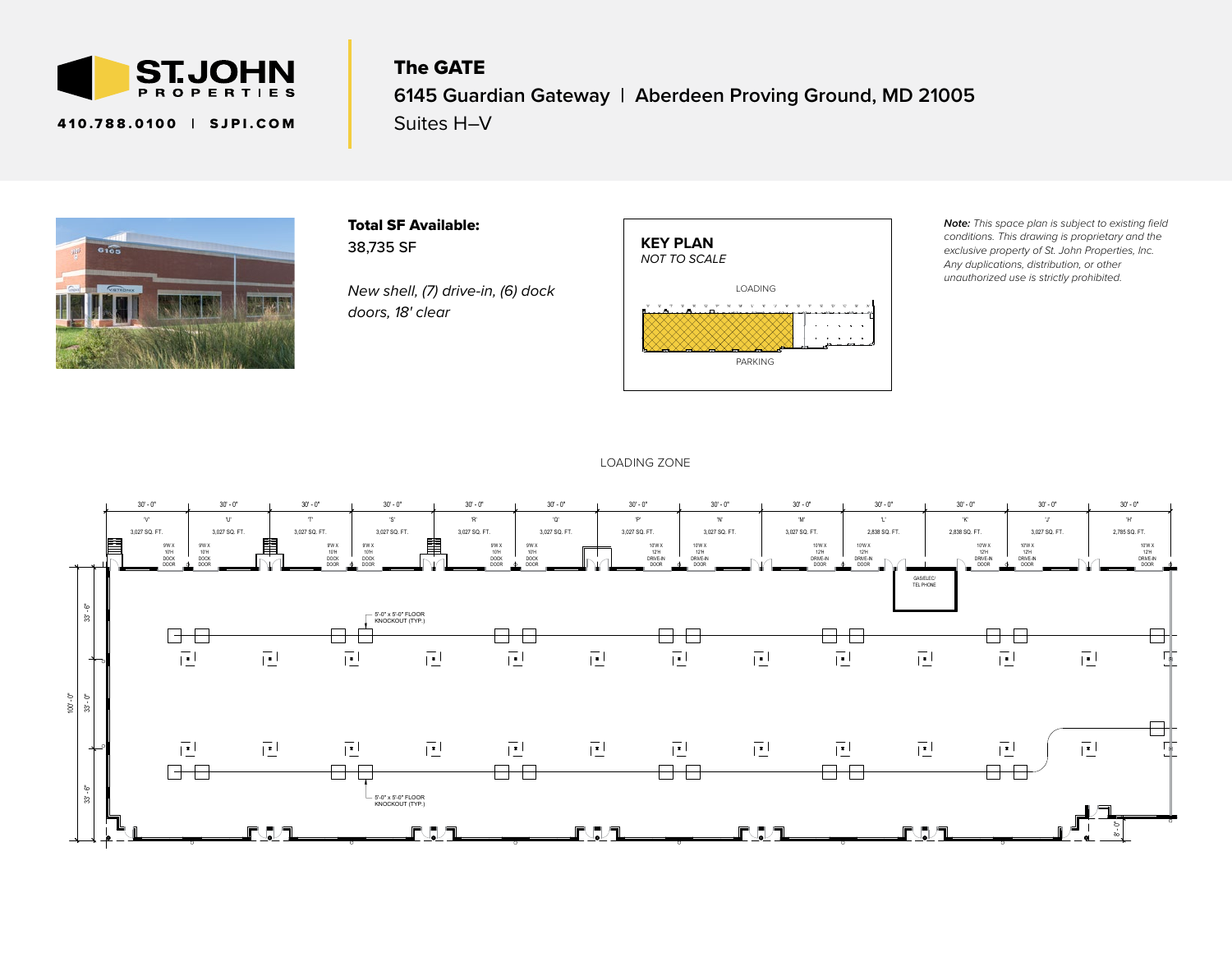

## The GATE

### **6145 Guardian Gateway | Aberdeen Proving Ground, MD 21005**

410.788.0100 | SJPI.COM

Suites H-V



Total SF Available: 38,735 SF

*New shell, (7) drive-in, (6) dock doors, 18' clear*



*Note: This space plan is subject to existing field conditions. This drawing is proprietary and the exclusive property of St. John Properties, Inc. Any duplications, distribution, or other unauthorized use is strictly prohibited.*

#### LOADING ZONE